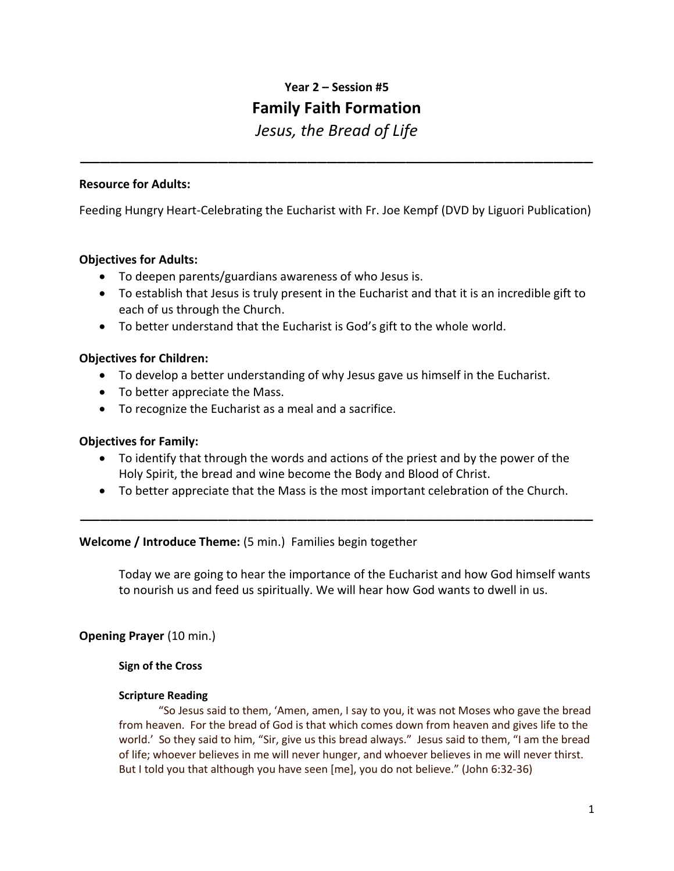# **Year 2 – Session #5 Family Faith Formation**

*Jesus, the Bread of Life*

\_\_\_\_\_\_\_\_\_\_\_\_\_\_\_\_\_\_\_\_\_\_\_\_\_\_\_\_\_\_\_\_\_\_\_\_\_\_\_\_\_\_\_\_\_\_\_\_\_\_\_\_

### **Resource for Adults:**

Feeding Hungry Heart-Celebrating the Eucharist with Fr. Joe Kempf (DVD by Liguori Publication)

## **Objectives for Adults:**

- To deepen parents/guardians awareness of who Jesus is.
- To establish that Jesus is truly present in the Eucharist and that it is an incredible gift to each of us through the Church.
- To better understand that the Eucharist is God's gift to the whole world.

# **Objectives for Children:**

- To develop a better understanding of why Jesus gave us himself in the Eucharist.
- To better appreciate the Mass.
- To recognize the Eucharist as a meal and a sacrifice.

### **Objectives for Family:**

- To identify that through the words and actions of the priest and by the power of the Holy Spirit, the bread and wine become the Body and Blood of Christ.
- To better appreciate that the Mass is the most important celebration of the Church.

\_\_\_\_\_\_\_\_\_\_\_\_\_\_\_\_\_\_\_\_\_\_\_\_\_\_\_\_\_\_\_\_\_\_\_\_\_\_\_\_\_\_\_\_\_\_\_\_\_\_\_\_

#### **Welcome / Introduce Theme:** (5 min.) Families begin together

Today we are going to hear the importance of the Eucharist and how God himself wants to nourish us and feed us spiritually. We will hear how God wants to dwell in us.

# **Opening Prayer** (10 min.)

#### **Sign of the Cross**

#### **Scripture Reading**

"So Jesus said to them, 'Amen, amen, I say to you, it was not Moses who gave the bread from heaven. For the bread of God is that which comes down from heaven and gives life to the world.' So they said to him, "Sir, give us this bread always." Jesus said to them, "I am the bread of life; whoever believes in me will never hunger, and whoever believes in me will never thirst. But I told you that although you have seen [me], you do not believe." (John 6:32-36)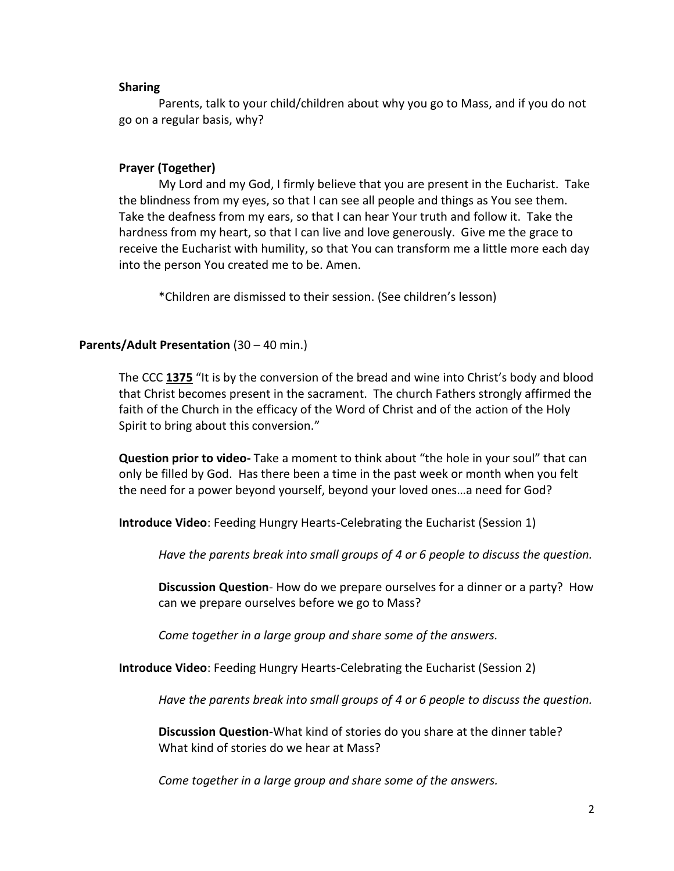#### **Sharing**

Parents, talk to your child/children about why you go to Mass, and if you do not go on a regular basis, why?

#### **Prayer (Together)**

My Lord and my God, I firmly believe that you are present in the Eucharist. Take the blindness from my eyes, so that I can see all people and things as You see them. Take the deafness from my ears, so that I can hear Your truth and follow it. Take the hardness from my heart, so that I can live and love generously. Give me the grace to receive the Eucharist with humility, so that You can transform me a little more each day into the person You created me to be. Amen.

\*Children are dismissed to their session. (See children's lesson)

## **Parents/Adult Presentation** (30 – 40 min.)

The CCC **1375** "It is by the conversion of the bread and wine into Christ's body and blood that Christ becomes present in the sacrament. The church Fathers strongly affirmed the faith of the Church in the efficacy of the Word of Christ and of the action of the Holy Spirit to bring about this conversion."

**Question prior to video-** Take a moment to think about "the hole in your soul" that can only be filled by God. Has there been a time in the past week or month when you felt the need for a power beyond yourself, beyond your loved ones…a need for God?

**Introduce Video**: Feeding Hungry Hearts-Celebrating the Eucharist (Session 1)

*Have the parents break into small groups of 4 or 6 people to discuss the question.*

**Discussion Question**- How do we prepare ourselves for a dinner or a party? How can we prepare ourselves before we go to Mass?

*Come together in a large group and share some of the answers.*

**Introduce Video**: Feeding Hungry Hearts-Celebrating the Eucharist (Session 2)

*Have the parents break into small groups of 4 or 6 people to discuss the question.*

**Discussion Question**-What kind of stories do you share at the dinner table? What kind of stories do we hear at Mass?

*Come together in a large group and share some of the answers.*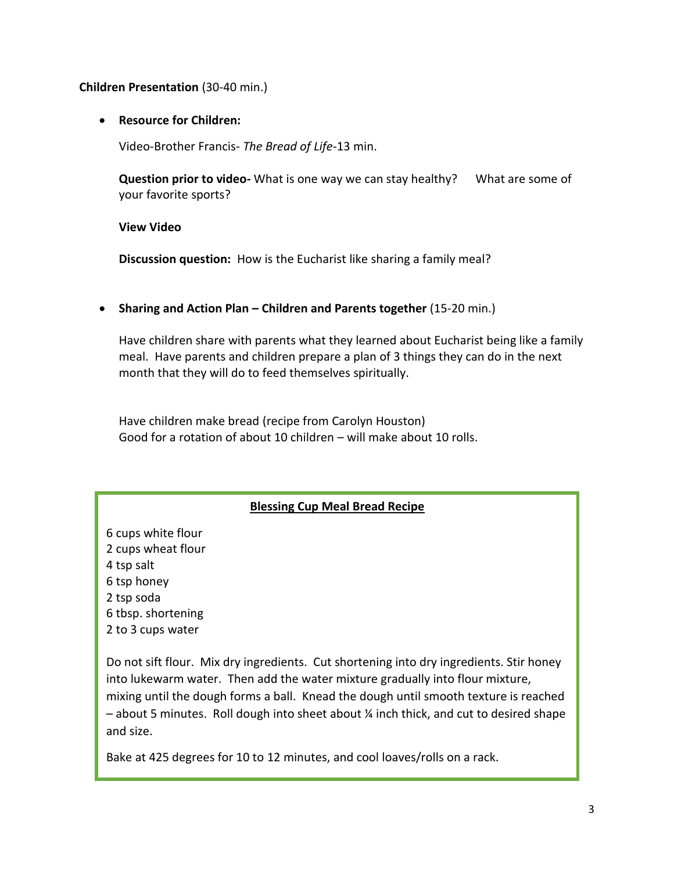### **Children Presentation** (30-40 min.)

### **Resource for Children:**

Video-Brother Francis- *The Bread of Life*-13 min.

**Question prior to video-** What is one way we can stay healthy? What are some of your favorite sports?

**View Video**

**Discussion question:** How is the Eucharist like sharing a family meal?

**•** Sharing and Action Plan – Children and Parents together (15-20 min.)

Have children share with parents what they learned about Eucharist being like a family meal. Have parents and children prepare a plan of 3 things they can do in the next month that they will do to feed themselves spiritually.

Have children make bread (recipe from Carolyn Houston) Good for a rotation of about 10 children – will make about 10 rolls.

# **Blessing Cup Meal Bread Recipe**

6 cups white flour 2 cups wheat flour 4 tsp salt 6 tsp honey 2 tsp soda 6 tbsp. shortening 2 to 3 cups water

Do not sift flour. Mix dry ingredients. Cut shortening into dry ingredients. Stir honey into lukewarm water. Then add the water mixture gradually into flour mixture, mixing until the dough forms a ball. Knead the dough until smooth texture is reached  $-$  about 5 minutes. Roll dough into sheet about  $\frac{1}{2}$  inch thick, and cut to desired shape and size.

Bake at 425 degrees for 10 to 12 minutes, and cool loaves/rolls on a rack.